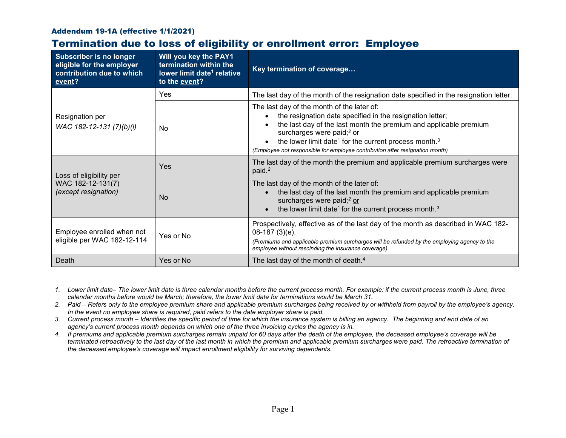## Addendum 19-1A (effective 1/1/2021)

## Termination due to loss of eligibility or enrollment error: Employee

| <b>Subscriber is no longer</b><br>eligible for the employer<br>contribution due to which<br>event? | Will you key the PAY1<br>termination within the<br>lower limit date <sup>1</sup> relative<br>to the event? | Key termination of coverage                                                                                                                                                                                                                                                                                                                                                            |  |
|----------------------------------------------------------------------------------------------------|------------------------------------------------------------------------------------------------------------|----------------------------------------------------------------------------------------------------------------------------------------------------------------------------------------------------------------------------------------------------------------------------------------------------------------------------------------------------------------------------------------|--|
| Resignation per<br>WAC 182-12-131 (7)(b)(i)                                                        | Yes                                                                                                        | The last day of the month of the resignation date specified in the resignation letter.                                                                                                                                                                                                                                                                                                 |  |
|                                                                                                    | No.                                                                                                        | The last day of the month of the later of:<br>the resignation date specified in the resignation letter;<br>the last day of the last month the premium and applicable premium<br>surcharges were paid; <sup>2</sup> or<br>the lower limit date <sup>1</sup> for the current process month. <sup>3</sup><br>(Employee not responsible for employee contribution after resignation month) |  |
| Loss of eligibility per<br>WAC 182-12-131(7)<br>(except resignation)                               | Yes                                                                                                        | The last day of the month the premium and applicable premium surcharges were<br>paid. <sup>2</sup>                                                                                                                                                                                                                                                                                     |  |
|                                                                                                    | <b>No</b>                                                                                                  | The last day of the month of the later of:<br>the last day of the last month the premium and applicable premium<br>surcharges were paid; $2$ or<br>the lower limit date <sup>1</sup> for the current process month. <sup>3</sup>                                                                                                                                                       |  |
| Employee enrolled when not<br>eligible per WAC 182-12-114                                          | Yes or No                                                                                                  | Prospectively, effective as of the last day of the month as described in WAC 182-<br>08-187 (3)(e).<br>(Premiums and applicable premium surcharges will be refunded by the employing agency to the<br>employee without rescinding the insurance coverage)                                                                                                                              |  |
| Death                                                                                              | Yes or No                                                                                                  | The last day of the month of death. <sup>4</sup>                                                                                                                                                                                                                                                                                                                                       |  |

- *1. Lower limit date– The lower limit date is three calendar months before the current process month. For example: if the current process month is June, three calendar months before would be March; therefore, the lower limit date for terminations would be March 31.*
- *2. Paid – Refers only to the employee premium share and applicable premium surcharges being received by or withheld from payroll by the employee's agency. In the event no employee share is required, paid refers to the date employer share is paid.*
- *3. Current process month – Identifies the specific period of time for which the insurance system is billing an agency. The beginning and end date of an agency's current process month depends on which one of the three invoicing cycles the agency is in.*
- *4. If premiums and applicable premium surcharges remain unpaid for 60 days after the death of the employee, the deceased employee's coverage will be terminated retroactively to the last day of the last month in which the premium and applicable premium surcharges were paid. The retroactive termination of the deceased employee's coverage will impact enrollment eligibility for surviving dependents.*